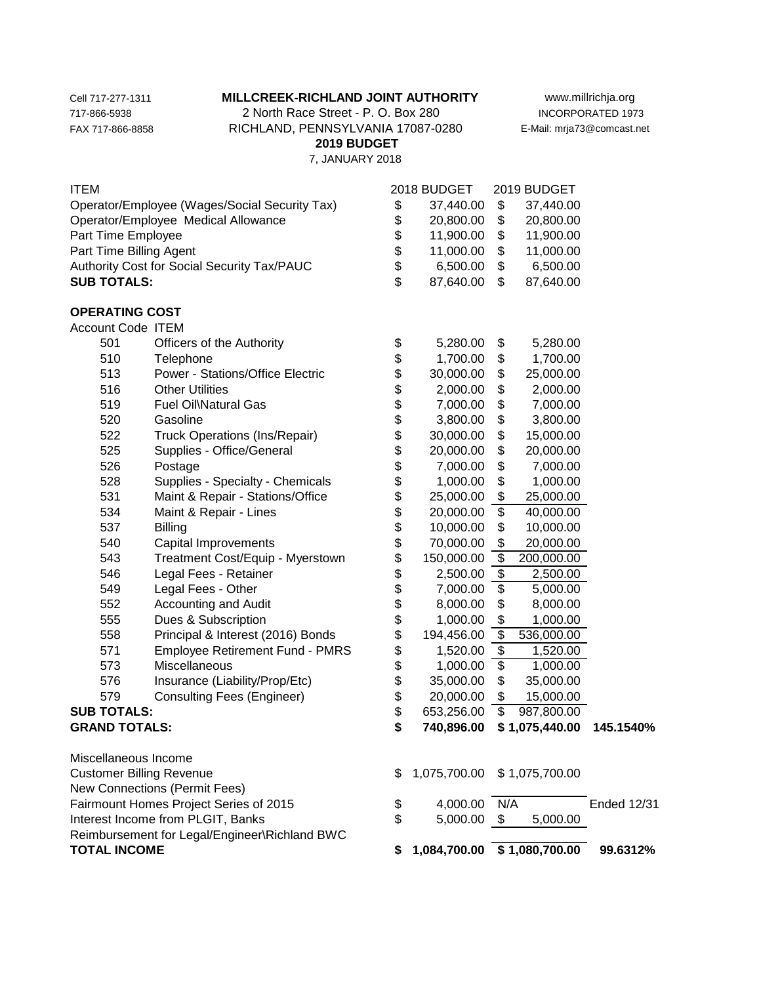## Cell 717-277-1311 **MILLCREEK-RICHLAND JOINT AUTHORITY** www.millrichja.org

717-866-5938 2 North Race Street - P. O. Box 280 INCORPORATED 1973 FAX 717-866-8858 RICHLAND, PENNSYLVANIA 17087-0280 E-Mail: mrja73@comcast.net  **2019 BUDGET**

7, JANUARY 2018

| ITEM                                                                               |                                        |          | 2018 BUDGET                 |                          | 2019 BUDGET    |                    |
|------------------------------------------------------------------------------------|----------------------------------------|----------|-----------------------------|--------------------------|----------------|--------------------|
| Operator/Employee (Wages/Social Security Tax)                                      |                                        | \$       | 37,440.00                   | \$                       | 37,440.00      |                    |
| Operator/Employee Medical Allowance                                                |                                        | \$       | 20,800.00                   | \$                       | 20,800.00      |                    |
| Part Time Employee                                                                 |                                        | \$       | 11,900.00                   | \$                       | 11,900.00      |                    |
| Part Time Billing Agent                                                            |                                        | \$       | 11,000.00                   | \$                       | 11,000.00      |                    |
| Authority Cost for Social Security Tax/PAUC                                        |                                        | \$       | 6,500.00                    | \$                       | 6,500.00       |                    |
| <b>SUB TOTALS:</b>                                                                 |                                        | \$       | 87,640.00                   | \$                       | 87,640.00      |                    |
| <b>OPERATING COST</b>                                                              |                                        |          |                             |                          |                |                    |
| <b>Account Code ITEM</b>                                                           |                                        |          |                             |                          |                |                    |
| 501                                                                                | Officers of the Authority              | \$       | 5,280.00                    | \$                       | 5,280.00       |                    |
| 510                                                                                | Telephone                              | \$<br>\$ | 1,700.00                    | \$                       | 1,700.00       |                    |
| 513                                                                                | Power - Stations/Office Electric       |          | 30,000.00                   | \$                       | 25,000.00      |                    |
| 516                                                                                | <b>Other Utilities</b>                 | \$       | 2,000.00                    | \$                       | 2,000.00       |                    |
| 519                                                                                | Fuel Oil\Natural Gas                   | \$\$     | 7,000.00                    | \$                       | 7,000.00       |                    |
| 520                                                                                | Gasoline                               |          | 3,800.00                    | \$                       | 3,800.00       |                    |
| 522                                                                                | Truck Operations (Ins/Repair)          |          | 30,000.00                   | \$                       | 15,000.00      |                    |
| 525                                                                                | Supplies - Office/General              | \$       | 20,000.00                   | \$                       | 20,000.00      |                    |
| 526                                                                                | Postage                                | \$       | 7,000.00                    | \$                       | 7,000.00       |                    |
| 528                                                                                | Supplies - Specialty - Chemicals       | \$       | 1,000.00                    | \$                       | 1,000.00       |                    |
| 531                                                                                | Maint & Repair - Stations/Office       | \$       | 25,000.00                   | \$                       | 25,000.00      |                    |
| 534                                                                                | Maint & Repair - Lines                 | \$       | 20,000.00                   | \$                       | 40,000.00      |                    |
| 537                                                                                | <b>Billing</b>                         | \$       | 10,000.00                   | \$                       | 10,000.00      |                    |
| 540                                                                                | Capital Improvements                   | \$       | 70,000.00                   | \$                       | 20,000.00      |                    |
| 543                                                                                | Treatment Cost/Equip - Myerstown       | \$       | 150,000.00                  | \$                       | 200,000.00     |                    |
| 546                                                                                | Legal Fees - Retainer                  | \$       | 2,500.00                    | $\frac{1}{2}$            | 2,500.00       |                    |
| 549                                                                                | Legal Fees - Other                     | \$       | 7,000.00                    | $\overline{\$}$          | 5,000.00       |                    |
| 552                                                                                | Accounting and Audit                   | \$       | 8,000.00                    | \$                       | 8,000.00       |                    |
| 555                                                                                | Dues & Subscription                    | \$       | 1,000.00                    | \$                       | 1,000.00       |                    |
| 558                                                                                | Principal & Interest (2016) Bonds      | \$       | 194,456.00                  | $\overline{\$}$          | 536,000.00     |                    |
| 571                                                                                | <b>Employee Retirement Fund - PMRS</b> | \$       | 1,520.00                    | $\overline{\$}$          | 1,520.00       |                    |
| 573                                                                                | Miscellaneous                          | \$<br>\$ | 1,000.00                    | \$                       | 1,000.00       |                    |
| 576                                                                                | Insurance (Liability/Prop/Etc)         |          | 35,000.00                   | \$                       | 35,000.00      |                    |
| 579                                                                                | <b>Consulting Fees (Engineer)</b>      | \$       | 20,000.00                   | \$                       | 15,000.00      |                    |
| <b>SUB TOTALS:</b>                                                                 |                                        | \$       | 653,256.00                  | $\overline{\mathcal{S}}$ | 987,800.00     |                    |
| <b>GRAND TOTALS:</b>                                                               |                                        | \$       | 740,896.00                  |                          | \$1,075,440.00 | 145.1540%          |
| Miscellaneous Income                                                               |                                        |          |                             |                          |                |                    |
| <b>Customer Billing Revenue</b>                                                    |                                        | \$       | 1,075,700.00                |                          | \$1,075,700.00 |                    |
| New Connections (Permit Fees)                                                      |                                        |          |                             |                          |                |                    |
| Fairmount Homes Project Series of 2015                                             |                                        | \$       | 4,000.00                    | N/A                      |                | <b>Ended 12/31</b> |
| Interest Income from PLGIT, Banks<br>Reimbursement for Legal/Engineer\Richland BWC |                                        | \$       | 5,000.00                    | - \$                     | 5,000.00       |                    |
| <b>TOTAL INCOME</b>                                                                |                                        | \$       | 1,084,700.00 \$1,080,700.00 |                          |                | 99.6312%           |
|                                                                                    |                                        |          |                             |                          |                |                    |